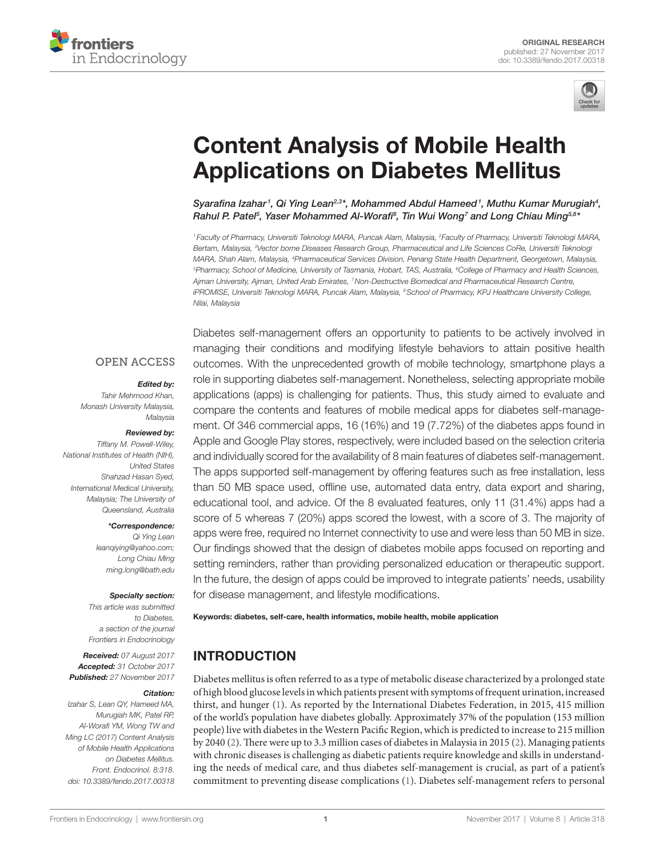



# **Content Analysis of Mobile Health Applications on Diabetes Mellitus**

Syarafina Izahar<sup>1</sup>, Qi Ying Lean<sup>2,3\*</sup>, Mohammed Abdul Hameed<sup>1</sup>, Muthu Kumar Murugiah<sup>4</sup>, *[Rahul P. Patel](http://loop.frontiersin.org/people/428656)5 , [Yaser Mohammed Al-Worafi6](http://loop.frontiersin.org/people/426068) , Tin Wui Wong7 and [Long Chiau Ming5](http://loop.frontiersin.org/people/385700),8\**

*<sup>1</sup> Faculty of Pharmacy, Universiti Teknologi MARA, Puncak Alam, Malaysia, 2 Faculty of Pharmacy, Universiti Teknologi MARA, Bertam, Malaysia, 3 Vector borne Diseases Research Group, Pharmaceutical and Life Sciences CoRe, Universiti Teknologi MARA, Shah Alam, Malaysia, 4 Pharmaceutical Services Division, Penang State Health Department, Georgetown, Malaysia, 5 Pharmacy, School of Medicine, University of Tasmania, Hobart, TAS, Australia, 6 College of Pharmacy and Health Sciences, Ajman University, Ajman, United Arab Emirates, 7Non-Destructive Biomedical and Pharmaceutical Research Centre, iPROMISE, Universiti Teknologi MARA, Puncak Alam, Malaysia, 8School of Pharmacy, KPJ Healthcare University College, Nilai, Malaysia*

#### **OPEN ACCESS**

#### *Edited by:*

*Tahir Mehmood Khan, Monash University Malaysia, Malaysia*

#### *Reviewed by:*

*Tiffany M. Powell-Wiley, National Institutes of Health (NIH), United States Shahzad Hasan Syed, International Medical University, Malaysia; The University of Queensland, Australia*

#### *\*Correspondence:*

*Qi Ying Lean [leanqiying@yahoo.com;](mailto:leanqiying@yahoo.com) Long Chiau Ming [ming.long@bath.edu](mailto:ming.long@bath.edu)*

#### *Specialty section:*

*This article was submitted to Diabetes, a section of the journal Frontiers in Endocrinology*

*Received: 07 August 2017 Accepted: 31 October 2017 Published: 27 November 2017*

#### *Citation:*

*Izahar S, Lean QY, Hameed MA, Murugiah MK, Patel RP, Al-Worafi YM, Wong TW and Ming LC (2017) Content Analysis of Mobile Health Applications on Diabetes Mellitus. Front. Endocrinol. 8:318. doi: [10.3389/fendo.2017.00318](https://doi.org/10.3389/fendo.2017.00318)*

Diabetes self-management offers an opportunity to patients to be actively involved in managing their conditions and modifying lifestyle behaviors to attain positive health outcomes. With the unprecedented growth of mobile technology, smartphone plays a role in supporting diabetes self-management. Nonetheless, selecting appropriate mobile applications (apps) is challenging for patients. Thus, this study aimed to evaluate and compare the contents and features of mobile medical apps for diabetes self-management. Of 346 commercial apps, 16 (16%) and 19 (7.72%) of the diabetes apps found in Apple and Google Play stores, respectively, were included based on the selection criteria and individually scored for the availability of 8 main features of diabetes self-management. The apps supported self-management by offering features such as free installation, less than 50 MB space used, offline use, automated data entry, data export and sharing, educational tool, and advice. Of the 8 evaluated features, only 11 (31.4%) apps had a score of 5 whereas 7 (20%) apps scored the lowest, with a score of 3. The majority of apps were free, required no Internet connectivity to use and were less than 50 MB in size. Our findings showed that the design of diabetes mobile apps focused on reporting and setting reminders, rather than providing personalized education or therapeutic support. In the future, the design of apps could be improved to integrate patients' needs, usability for disease management, and lifestyle modifications.

#### Keywords: diabetes, self-care, health informatics, mobile health, mobile application

## INTRODUCTION

Diabetes mellitus is often referred to as a type of metabolic disease characterized by a prolonged state of high blood glucose levels in which patients present with symptoms of frequent urination, increased thirst, and hunger ([1\)](#page-6-0). As reported by the International Diabetes Federation, in 2015, 415 million of the world's population have diabetes globally. Approximately 37% of the population (153 million people) live with diabetes in the Western Pacific Region, which is predicted to increase to 215 million by 2040 ([2](#page-6-1)). There were up to 3.3 million cases of diabetes in Malaysia in 2015 [\(2\)](#page-6-1). Managing patients with chronic diseases is challenging as diabetic patients require knowledge and skills in understanding the needs of medical care, and thus diabetes self-management is crucial, as part of a patient's commitment to preventing disease complications [\(1](#page-6-0)). Diabetes self-management refers to personal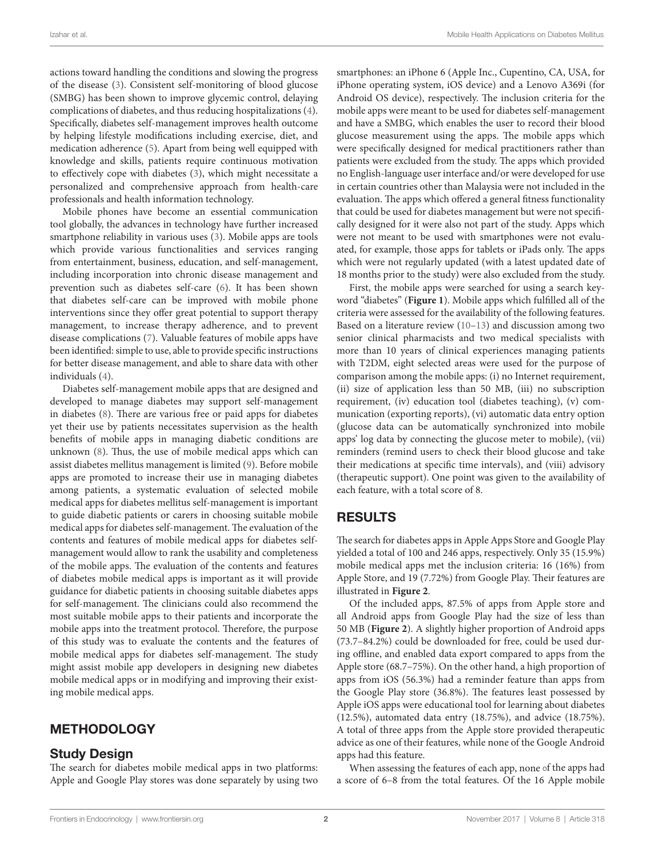actions toward handling the conditions and slowing the progress of the disease ([3](#page-6-2)). Consistent self-monitoring of blood glucose (SMBG) has been shown to improve glycemic control, delaying complications of diabetes, and thus reducing hospitalizations [\(4\)](#page-6-3). Specifically, diabetes self-management improves health outcome by helping lifestyle modifications including exercise, diet, and medication adherence [\(5\)](#page-6-4). Apart from being well equipped with knowledge and skills, patients require continuous motivation to effectively cope with diabetes ([3](#page-6-2)), which might necessitate a personalized and comprehensive approach from health-care professionals and health information technology.

Mobile phones have become an essential communication tool globally, the advances in technology have further increased smartphone reliability in various uses ([3](#page-6-2)). Mobile apps are tools which provide various functionalities and services ranging from entertainment, business, education, and self-management, including incorporation into chronic disease management and prevention such as diabetes self-care ([6](#page-6-5)). It has been shown that diabetes self-care can be improved with mobile phone interventions since they offer great potential to support therapy management, to increase therapy adherence, and to prevent disease complications ([7](#page-6-6)). Valuable features of mobile apps have been identified: simple to use, able to provide specific instructions for better disease management, and able to share data with other individuals [\(4\)](#page-6-3).

Diabetes self-management mobile apps that are designed and developed to manage diabetes may support self-management in diabetes [\(8\)](#page-6-7). There are various free or paid apps for diabetes yet their use by patients necessitates supervision as the health benefits of mobile apps in managing diabetic conditions are unknown [\(8\)](#page-6-7). Thus, the use of mobile medical apps which can assist diabetes mellitus management is limited [\(9\)](#page-6-8). Before mobile apps are promoted to increase their use in managing diabetes among patients, a systematic evaluation of selected mobile medical apps for diabetes mellitus self-management is important to guide diabetic patients or carers in choosing suitable mobile medical apps for diabetes self-management. The evaluation of the contents and features of mobile medical apps for diabetes selfmanagement would allow to rank the usability and completeness of the mobile apps. The evaluation of the contents and features of diabetes mobile medical apps is important as it will provide guidance for diabetic patients in choosing suitable diabetes apps for self-management. The clinicians could also recommend the most suitable mobile apps to their patients and incorporate the mobile apps into the treatment protocol. Therefore, the purpose of this study was to evaluate the contents and the features of mobile medical apps for diabetes self-management. The study might assist mobile app developers in designing new diabetes mobile medical apps or in modifying and improving their existing mobile medical apps.

## METHODOLOGY

## Study Design

The search for diabetes mobile medical apps in two platforms: Apple and Google Play stores was done separately by using two smartphones: an iPhone 6 (Apple Inc., Cupentino, CA, USA, for iPhone operating system, iOS device) and a Lenovo A369i (for Android OS device), respectively. The inclusion criteria for the mobile apps were meant to be used for diabetes self-management and have a SMBG, which enables the user to record their blood glucose measurement using the apps. The mobile apps which were specifically designed for medical practitioners rather than patients were excluded from the study. The apps which provided no English-language user interface and/or were developed for use in certain countries other than Malaysia were not included in the evaluation. The apps which offered a general fitness functionality that could be used for diabetes management but were not specifically designed for it were also not part of the study. Apps which were not meant to be used with smartphones were not evaluated, for example, those apps for tablets or iPads only. The apps which were not regularly updated (with a latest updated date of 18 months prior to the study) were also excluded from the study.

First, the mobile apps were searched for using a search keyword "diabetes" (**[Figure 1](#page-2-0)**). Mobile apps which fulfilled all of the criteria were assessed for the availability of the following features. Based on a literature review ([10–](#page-6-9)[13\)](#page-6-10) and discussion among two senior clinical pharmacists and two medical specialists with more than 10 years of clinical experiences managing patients with T2DM, eight selected areas were used for the purpose of comparison among the mobile apps: (i) no Internet requirement, (ii) size of application less than 50 MB, (iii) no subscription requirement, (iv) education tool (diabetes teaching), (v) communication (exporting reports), (vi) automatic data entry option (glucose data can be automatically synchronized into mobile apps' log data by connecting the glucose meter to mobile), (vii) reminders (remind users to check their blood glucose and take their medications at specific time intervals), and (viii) advisory (therapeutic support). One point was given to the availability of each feature, with a total score of 8.

## RESULTS

The search for diabetes apps in Apple Apps Store and Google Play yielded a total of 100 and 246 apps, respectively. Only 35 (15.9%) mobile medical apps met the inclusion criteria: 16 (16%) from Apple Store, and 19 (7.72%) from Google Play. Their features are illustrated in **[Figure 2](#page-2-1)**.

Of the included apps, 87.5% of apps from Apple store and all Android apps from Google Play had the size of less than 50 MB (**[Figure 2](#page-2-1)**). A slightly higher proportion of Android apps (73.7–84.2%) could be downloaded for free, could be used during offline, and enabled data export compared to apps from the Apple store (68.7–75%). On the other hand, a high proportion of apps from iOS (56.3%) had a reminder feature than apps from the Google Play store (36.8%). The features least possessed by Apple iOS apps were educational tool for learning about diabetes (12.5%), automated data entry (18.75%), and advice (18.75%). A total of three apps from the Apple store provided therapeutic advice as one of their features, while none of the Google Android apps had this feature.

When assessing the features of each app, none of the apps had a score of 6–8 from the total features. Of the 16 Apple mobile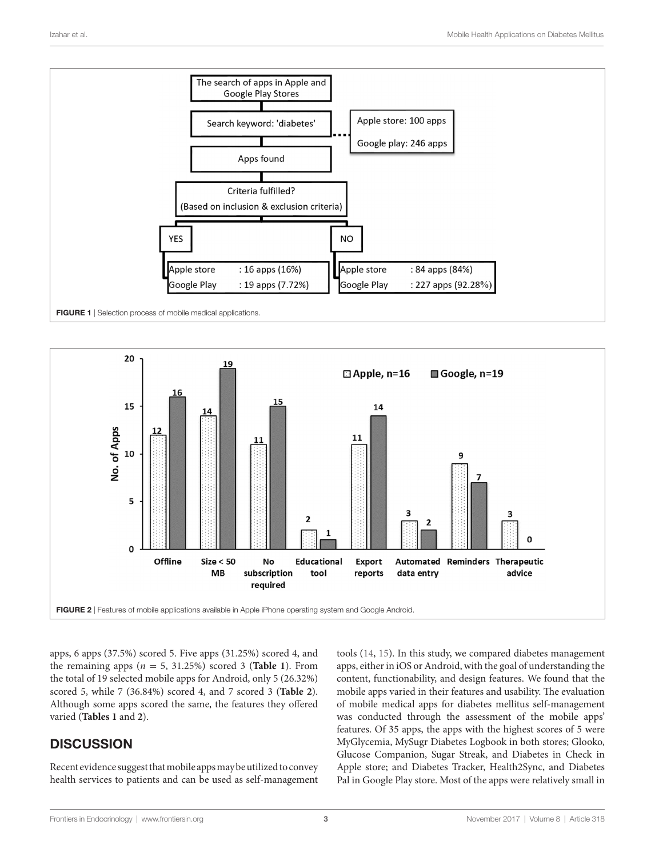

<span id="page-2-0"></span>

<span id="page-2-1"></span>apps, 6 apps (37.5%) scored 5. Five apps (31.25%) scored 4, and the remaining apps  $(n = 5, 31.25%)$  scored 3 (**Table 1**). From the total of 19 selected mobile apps for Android, only 5 (26.32%) scored 5, while 7 (36.84%) scored 4, and 7 scored 3 (**Table 2**). Although some apps scored the same, the features they offered varied (**Tables 1** and **2**).

# **DISCUSSION**

Recent evidence suggest that mobile apps may be utilized to convey health services to patients and can be used as self-management tools [\(14,](#page-6-11) [15](#page-6-12)). In this study, we compared diabetes management apps, either in iOS or Android, with the goal of understanding the content, functionability, and design features. We found that the mobile apps varied in their features and usability. The evaluation of mobile medical apps for diabetes mellitus self-management was conducted through the assessment of the mobile apps' features. Of 35 apps, the apps with the highest scores of 5 were MyGlycemia, MySugr Diabetes Logbook in both stores; Glooko, Glucose Companion, Sugar Streak, and Diabetes in Check in Apple store; and Diabetes Tracker, Health2Sync, and Diabetes Pal in Google Play store. Most of the apps were relatively small in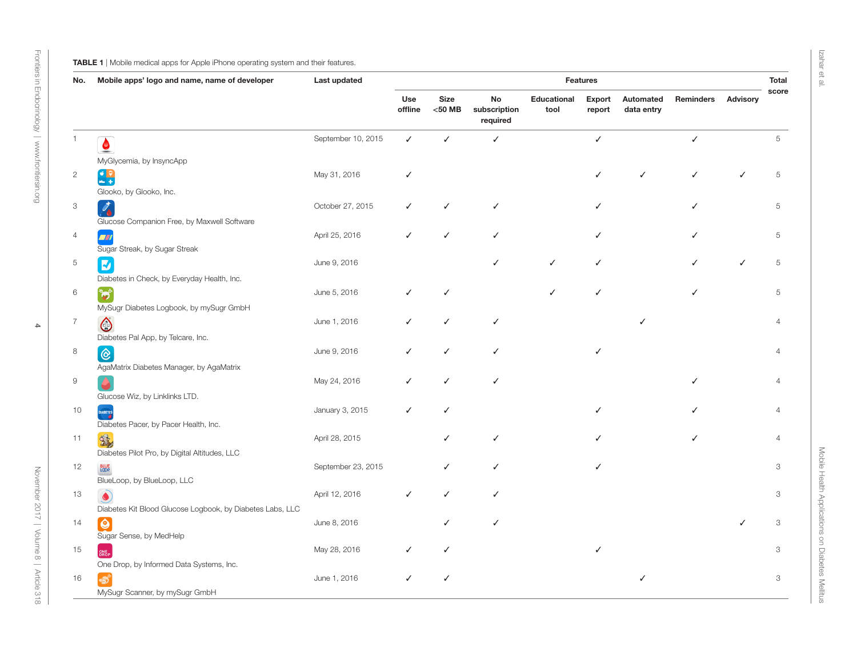#### TABLE 1 | Mobile medical apps for Apple iPhone operating system and their features.

| No.            | Mobile apps' logo and name, name of developer             | Last updated       | <b>Features</b>       |                          |                                |                     |                  |                         |                  |                 |                           |
|----------------|-----------------------------------------------------------|--------------------|-----------------------|--------------------------|--------------------------------|---------------------|------------------|-------------------------|------------------|-----------------|---------------------------|
|                |                                                           |                    | <b>Use</b><br>offline | <b>Size</b><br>$<$ 50 MB | No<br>subscription<br>required | Educational<br>tool | Export<br>report | Automated<br>data entry | <b>Reminders</b> | <b>Advisory</b> | score                     |
| -1             | $\bullet$                                                 | September 10, 2015 | ✓                     | $\checkmark$             | ✓                              |                     | $\checkmark$     |                         | ✓                |                 | 5                         |
|                | MyGlycemia, by InsyncApp                                  |                    |                       |                          |                                |                     |                  |                         |                  |                 |                           |
| $\overline{c}$ |                                                           | May 31, 2016       | $\checkmark$          |                          |                                |                     | ✓                | $\checkmark$            |                  |                 | 5                         |
|                | $\mathbf{C}$                                              |                    |                       |                          |                                |                     |                  |                         |                  |                 |                           |
| 3              | Glooko, by Glooko, Inc.                                   | October 27, 2015   | ✓                     | $\checkmark$             | ✓                              |                     | ✓                |                         | ✓                |                 | 5                         |
|                | $\mathcal{L}_{\mathbf{0}}$                                |                    |                       |                          |                                |                     |                  |                         |                  |                 |                           |
|                | Glucose Companion Free, by Maxwell Software               |                    | ✓                     | ✓                        | ✓                              |                     | ✓                |                         |                  |                 | 5                         |
| $\overline{4}$ | <b>A</b><br>Sugar Streak, by Sugar Streak                 | April 25, 2016     |                       |                          |                                |                     |                  |                         |                  |                 |                           |
| $\,$ 5 $\,$    | $\overline{\mathbf{z}}$                                   | June 9, 2016       |                       |                          | ✓                              | ✓                   | ✓                |                         |                  | $\checkmark$    | 5                         |
|                | Diabetes in Check, by Everyday Health, Inc.               |                    |                       |                          |                                |                     |                  |                         |                  |                 |                           |
| 6              | <b>in</b>                                                 | June 5, 2016       |                       | ✓                        |                                | ✓                   | ✓                |                         | ✓                |                 | 5                         |
|                | MySugr Diabetes Logbook, by mySugr GmbH                   |                    |                       |                          |                                |                     |                  |                         |                  |                 |                           |
| $\overline{7}$ |                                                           | June 1, 2016       | ✓                     | $\checkmark$             | ✓                              |                     |                  | ✓                       |                  |                 | $\overline{4}$            |
|                | $\bigcirc$<br>Diabetes Pal App, by Telcare, Inc.          |                    |                       |                          |                                |                     |                  |                         |                  |                 |                           |
| $\,8\,$        |                                                           | June 9, 2016       | ✓                     | ✓                        |                                |                     |                  |                         |                  |                 | $\overline{4}$            |
|                | $\circledcirc$                                            |                    |                       |                          |                                |                     |                  |                         |                  |                 |                           |
| $\Theta$       | AgaMatrix Diabetes Manager, by AgaMatrix                  | May 24, 2016       | ✓                     | $\checkmark$             |                                |                     |                  |                         |                  |                 | $\overline{4}$            |
|                |                                                           |                    |                       |                          |                                |                     |                  |                         |                  |                 |                           |
|                | Glucose Wiz, by Linklinks LTD.                            | January 3, 2015    | ✓                     | $\checkmark$             |                                |                     | ✓                |                         |                  |                 | $\overline{4}$            |
| 10             | DIABETES<br>Diabetes Pacer, by Pacer Health, Inc.         |                    |                       |                          |                                |                     |                  |                         |                  |                 |                           |
| 11             | 露                                                         | April 28, 2015     |                       | ✓                        | ✓                              |                     |                  |                         |                  |                 | $\overline{4}$            |
|                | Diabetes Pilot Pro, by Digital Altitudes, LLC             |                    |                       |                          |                                |                     |                  |                         |                  |                 |                           |
| 12             | BLUE<br>LODP.                                             | September 23, 2015 |                       | $\checkmark$             | ✓                              |                     |                  |                         |                  |                 | $\ensuremath{\mathsf{3}}$ |
|                | BlueLoop, by BlueLoop, LLC                                |                    |                       |                          |                                |                     |                  |                         |                  |                 |                           |
| 13             | $\bullet$                                                 | April 12, 2016     | ✓                     | $\checkmark$             | ✓                              |                     |                  |                         |                  |                 | 3                         |
|                | Diabetes Kit Blood Glucose Logbook, by Diabetes Labs, LLC |                    |                       |                          |                                |                     |                  |                         |                  |                 |                           |
| 14             | $\overline{\mathbf{Q}}$                                   | June 8, 2016       |                       | ✓                        | ✓                              |                     |                  |                         |                  |                 | 3                         |
|                | Sugar Sense, by MedHelp                                   |                    |                       |                          |                                |                     |                  |                         |                  |                 |                           |
| 15             | ONE<br>DROP                                               | May 28, 2016       |                       | ✓                        |                                |                     |                  |                         |                  |                 | 3                         |
|                | One Drop, by Informed Data Systems, Inc.                  |                    |                       |                          |                                |                     |                  |                         |                  |                 |                           |
| 16             |                                                           | June 1, 2016       | ✓                     | ✓                        |                                |                     |                  | ✓                       |                  |                 | 3                         |
|                | MySugr Scanner, by mySugr GmbH                            |                    |                       |                          |                                |                     |                  |                         |                  |                 |                           |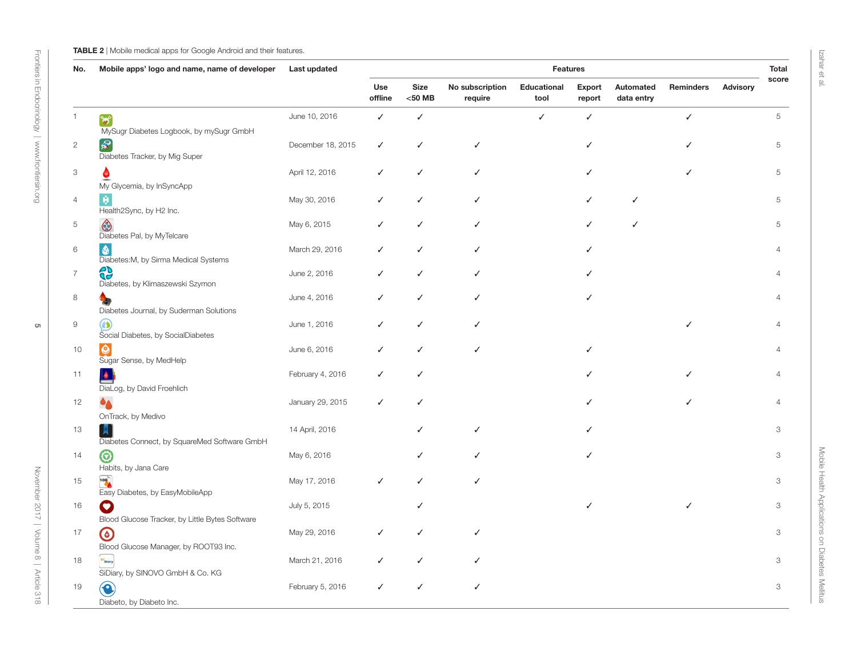#### **TABLE 2** | Mobile medical apps for Google Android and their features.

| No.                       | Mobile apps' logo and name, name of developer                                               | Last updated      | <b>Features</b> |                   |                            |                     |                  |                         |                  |                 |                |
|---------------------------|---------------------------------------------------------------------------------------------|-------------------|-----------------|-------------------|----------------------------|---------------------|------------------|-------------------------|------------------|-----------------|----------------|
|                           |                                                                                             |                   | Use<br>offline  | Size<br>$<$ 50 MB | No subscription<br>require | Educational<br>tool | Export<br>report | Automated<br>data entry | <b>Reminders</b> | <b>Advisory</b> | score          |
| $\overline{1}$            | $\mathbf{b}^*$<br>MySugr Diabetes Logbook, by mySugr GmbH                                   | June 10, 2016     | ✓               | $\checkmark$      |                            | ✓                   | $\checkmark$     |                         | ✓                |                 | 5              |
| $\sqrt{2}$                | $\mathcal{R}$<br>Diabetes Tracker, by Mig Super                                             | December 18, 2015 | ✓               | $\checkmark$      | ✓                          |                     | ✓                |                         |                  |                 | 5              |
| $\ensuremath{\mathsf{3}}$ |                                                                                             | April 12, 2016    | ✓               | $\checkmark$      | ✓                          |                     |                  |                         |                  |                 | 5              |
| $\overline{4}$            | My Glycemia, by InSyncApp<br>Health2Sync, by H2 Inc.                                        | May 30, 2016      | ✓               | $\checkmark$      | ✓                          |                     | ✓                | $\checkmark$            |                  |                 | 5              |
| 5                         | $\bigcirc$<br>Diabetes Pal, by MyTelcare                                                    | May 6, 2015       | ✓               | $\checkmark$      | ✓                          |                     | ✓                | $\checkmark$            |                  |                 | 5              |
| 6                         | $\bullet$<br>Diabetes: M, by Sirma Medical Systems                                          | March 29, 2016    | ✓               | $\checkmark$      | ✓                          |                     |                  |                         |                  |                 | $\overline{4}$ |
| $\overline{7}$            | €<br>Diabetes, by Klimaszewski Szymon                                                       | June 2, 2016      |                 | $\checkmark$      |                            |                     |                  |                         |                  |                 | $\overline{4}$ |
| $\,8\,$                   | Diabetes Journal, by Suderman Solutions                                                     | June 4, 2016      | ✓               | $\checkmark$      | ✓                          |                     | ✓                |                         |                  |                 | $\overline{4}$ |
| $\mathsf 9$               | $\omega$<br>Social Diabetes, by SocialDiabetes                                              | June 1, 2016      | ✓               | $\checkmark$      | ✓                          |                     |                  |                         | J                |                 | $\overline{4}$ |
| 10                        | $\boldsymbol{\Theta}$<br>Sugar Sense, by MedHelp                                            | June 6, 2016      | ✓               | ✓                 | ✓                          |                     |                  |                         |                  |                 | $\overline{4}$ |
| 11                        | $\bullet$<br>DiaLog, by David Froehlich                                                     | February 4, 2016  | ✓               | $\checkmark$      |                            |                     | ℐ                |                         |                  |                 | $\overline{4}$ |
| 12                        | $\bullet_{\blacktriangle}$<br>OnTrack, by Medivo                                            | January 29, 2015  | ✓               | $\checkmark$      |                            |                     |                  |                         |                  |                 | $\overline{4}$ |
| 13                        | H<br>Diabetes Connect, by SquareMed Software GmbH                                           | 14 April, 2016    |                 | ✓                 | ✓                          |                     |                  |                         |                  |                 | 3              |
| 14                        | $\odot$<br>Habits, by Jana Care                                                             | May 6, 2016       |                 | ✓                 |                            |                     |                  |                         |                  |                 | 3              |
| 15                        | $\begin{array}{c} \hline 100 \\ 0 \\ 0 \\ 0 \end{array}$<br>Easy Diabetes, by EasyMobileApp | May 17, 2016      | ✓               | ✓                 |                            |                     |                  |                         |                  |                 | 3              |
| 16                        | $\bullet$<br>Blood Glucose Tracker, by Little Bytes Software                                | July 5, 2015      |                 | ✓                 |                            |                     |                  |                         |                  |                 | 3              |
| 17                        | $\odot$                                                                                     | May 29, 2016      | ✓               | ✓                 | ✓                          |                     |                  |                         |                  |                 | 3              |
| 18                        | Blood Glucose Manager, by ROOT93 Inc.<br>si<br>Diary                                        | March 21, 2016    | ✓               | $\checkmark$      | ✓                          |                     |                  |                         |                  |                 | 3              |
| 19                        | SiDiary, by SINOVO GmbH & Co. KG<br>€<br>Diabeto, by Diabeto Inc.                           | February 5, 2016  | ✓               | $\checkmark$      | ✓                          |                     |                  |                         |                  |                 | 3              |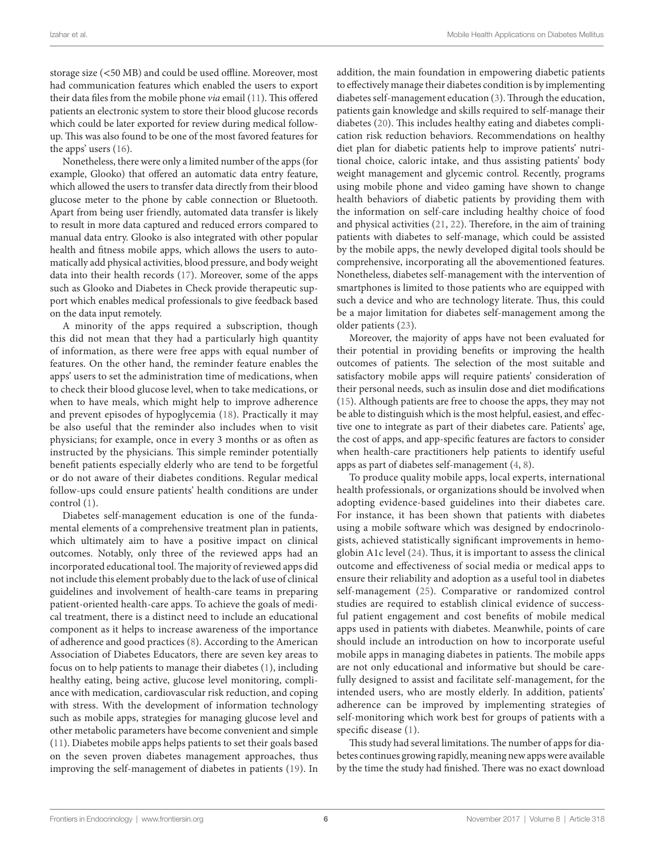storage size (<50 MB) and could be used offline. Moreover, most had communication features which enabled the users to export their data files from the mobile phone *via* email [\(11](#page-6-16)). This offered patients an electronic system to store their blood glucose records which could be later exported for review during medical followup. This was also found to be one of the most favored features for the apps' users ([16\)](#page-6-17).

Nonetheless, there were only a limited number of the apps (for example, Glooko) that offered an automatic data entry feature, which allowed the users to transfer data directly from their blood glucose meter to the phone by cable connection or Bluetooth. Apart from being user friendly, automated data transfer is likely to result in more data captured and reduced errors compared to manual data entry. Glooko is also integrated with other popular health and fitness mobile apps, which allows the users to automatically add physical activities, blood pressure, and body weight data into their health records [\(17\)](#page-6-18). Moreover, some of the apps such as Glooko and Diabetes in Check provide therapeutic support which enables medical professionals to give feedback based on the data input remotely.

A minority of the apps required a subscription, though this did not mean that they had a particularly high quantity of information, as there were free apps with equal number of features. On the other hand, the reminder feature enables the apps' users to set the administration time of medications, when to check their blood glucose level, when to take medications, or when to have meals, which might help to improve adherence and prevent episodes of hypoglycemia [\(18\)](#page-6-19). Practically it may be also useful that the reminder also includes when to visit physicians; for example, once in every 3 months or as often as instructed by the physicians. This simple reminder potentially benefit patients especially elderly who are tend to be forgetful or do not aware of their diabetes conditions. Regular medical follow-ups could ensure patients' health conditions are under control [\(1\)](#page-6-0).

Diabetes self-management education is one of the fundamental elements of a comprehensive treatment plan in patients, which ultimately aim to have a positive impact on clinical outcomes. Notably, only three of the reviewed apps had an incorporated educational tool. The majority of reviewed apps did not include this element probably due to the lack of use of clinical guidelines and involvement of health-care teams in preparing patient-oriented health-care apps. To achieve the goals of medical treatment, there is a distinct need to include an educational component as it helps to increase awareness of the importance of adherence and good practices [\(8\)](#page-6-7). According to the American Association of Diabetes Educators, there are seven key areas to focus on to help patients to manage their diabetes [\(1\)](#page-6-0), including healthy eating, being active, glucose level monitoring, compliance with medication, cardiovascular risk reduction, and coping with stress. With the development of information technology such as mobile apps, strategies for managing glucose level and other metabolic parameters have become convenient and simple ([11\)](#page-6-16). Diabetes mobile apps helps patients to set their goals based on the seven proven diabetes management approaches, thus improving the self-management of diabetes in patients [\(19\)](#page-6-20). In

addition, the main foundation in empowering diabetic patients to effectively manage their diabetes condition is by implementing diabetes self-management education ([3](#page-6-2)). Through the education, patients gain knowledge and skills required to self-manage their diabetes [\(20](#page-6-13)). This includes healthy eating and diabetes complication risk reduction behaviors. Recommendations on healthy diet plan for diabetic patients help to improve patients' nutritional choice, caloric intake, and thus assisting patients' body weight management and glycemic control. Recently, programs using mobile phone and video gaming have shown to change health behaviors of diabetic patients by providing them with the information on self-care including healthy choice of food and physical activities ([21](#page-6-14), [22\)](#page-6-15). Therefore, in the aim of training patients with diabetes to self-manage, which could be assisted by the mobile apps, the newly developed digital tools should be comprehensive, incorporating all the abovementioned features. Nonetheless, diabetes self-management with the intervention of smartphones is limited to those patients who are equipped with such a device and who are technology literate. Thus, this could be a major limitation for diabetes self-management among the older patients [\(23](#page-7-0)).

Moreover, the majority of apps have not been evaluated for their potential in providing benefits or improving the health outcomes of patients. The selection of the most suitable and satisfactory mobile apps will require patients' consideration of their personal needs, such as insulin dose and diet modifications [\(15\)](#page-6-12). Although patients are free to choose the apps, they may not be able to distinguish which is the most helpful, easiest, and effective one to integrate as part of their diabetes care. Patients' age, the cost of apps, and app-specific features are factors to consider when health-care practitioners help patients to identify useful apps as part of diabetes self-management ([4](#page-6-3), [8](#page-6-7)).

To produce quality mobile apps, local experts, international health professionals, or organizations should be involved when adopting evidence-based guidelines into their diabetes care. For instance, it has been shown that patients with diabetes using a mobile software which was designed by endocrinologists, achieved statistically significant improvements in hemoglobin A1c level ([24\)](#page-7-1). Thus, it is important to assess the clinical outcome and effectiveness of social media or medical apps to ensure their reliability and adoption as a useful tool in diabetes self-management ([25\)](#page-7-2). Comparative or randomized control studies are required to establish clinical evidence of successful patient engagement and cost benefits of mobile medical apps used in patients with diabetes. Meanwhile, points of care should include an introduction on how to incorporate useful mobile apps in managing diabetes in patients. The mobile apps are not only educational and informative but should be carefully designed to assist and facilitate self-management, for the intended users, who are mostly elderly. In addition, patients' adherence can be improved by implementing strategies of self-monitoring which work best for groups of patients with a specific disease [\(1\)](#page-6-0).

This study had several limitations. The number of apps for diabetes continues growing rapidly, meaning new apps were available by the time the study had finished. There was no exact download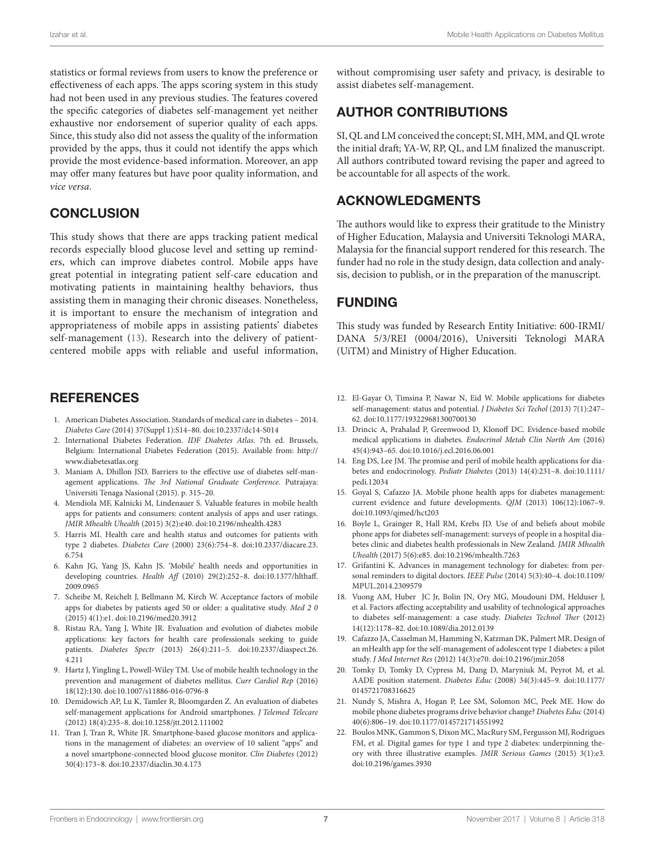statistics or formal reviews from users to know the preference or effectiveness of each apps. The apps scoring system in this study had not been used in any previous studies. The features covered the specific categories of diabetes self-management yet neither exhaustive nor endorsement of superior quality of each apps. Since, this study also did not assess the quality of the information provided by the apps, thus it could not identify the apps which provide the most evidence-based information. Moreover, an app may offer many features but have poor quality information, and *vice versa*.

## **CONCLUSION**

This study shows that there are apps tracking patient medical records especially blood glucose level and setting up reminders, which can improve diabetes control. Mobile apps have great potential in integrating patient self-care education and motivating patients in maintaining healthy behaviors, thus assisting them in managing their chronic diseases. Nonetheless, it is important to ensure the mechanism of integration and appropriateness of mobile apps in assisting patients' diabetes self-management [\(13](#page-6-10)). Research into the delivery of patientcentered mobile apps with reliable and useful information,

## **REFERENCES**

- <span id="page-6-0"></span>1. American Diabetes Association. Standards of medical care in diabetes – 2014. *Diabetes Care* (2014) 37(Suppl 1):S14–80. doi[:10.2337/dc14-S014](https://doi.org/10.2337/dc14-S014)
- <span id="page-6-1"></span>2. International Diabetes Federation. *IDF Diabetes Atlas*. 7th ed. Brussels, Belgium: International Diabetes Federation (2015). Available from: [http://](http://www.diabetesatlas.org) [www.diabetesatlas.org](http://www.diabetesatlas.org)
- <span id="page-6-2"></span>3. Maniam A, Dhillon JSD. Barriers to the effective use of diabetes self-management applications. *The 3rd National Graduate Conference*. Putrajaya: Universiti Tenaga Nasional (2015). p. 315–20.
- <span id="page-6-3"></span>4. Mendiola MF, Kalnicki M, Lindenauer S. Valuable features in mobile health apps for patients and consumers: content analysis of apps and user ratings. *JMIR Mhealth Uhealth* (2015) 3(2):e40. doi[:10.2196/mhealth.4283](https://doi.org/10.2196/mhealth.4283)
- <span id="page-6-4"></span>5. Harris MI. Health care and health status and outcomes for patients with type 2 diabetes. *Diabetes Care* (2000) 23(6):754–8. doi[:10.2337/diacare.23.](https://doi.org/10.2337/diacare.
23.6.754) [6.754](https://doi.org/10.2337/diacare.
23.6.754)
- <span id="page-6-5"></span>6. Kahn JG, Yang JS, Kahn JS. 'Mobile' health needs and opportunities in developing countries. *Health Aff* (2010) 29(2):252–8. doi[:10.1377/hlthaff.](https://doi.org/10.1377/hlthaff.
2009.0965) [2009.0965](https://doi.org/10.1377/hlthaff.
2009.0965)
- <span id="page-6-6"></span>7. Scheibe M, Reichelt J, Bellmann M, Kirch W. Acceptance factors of mobile apps for diabetes by patients aged 50 or older: a qualitative study. *Med 2 0* (2015) 4(1):e1. doi[:10.2196/med20.3912](https://doi.org/10.2196/med20.3912)
- <span id="page-6-7"></span>8. Ristau RA, Yang J, White JR. Evaluation and evolution of diabetes mobile applications: key factors for health care professionals seeking to guide patients. *Diabetes Spectr* (2013) 26(4):211–5. doi[:10.2337/diaspect.26.](https://doi.org/10.2337/diaspect.26.4.211) [4.211](https://doi.org/10.2337/diaspect.26.4.211)
- <span id="page-6-8"></span>9. Hartz J, Yingling L, Powell-Wiley TM. Use of mobile health technology in the prevention and management of diabetes mellitus. *Curr Cardiol Rep* (2016) 18(12):130. doi[:10.1007/s11886-016-0796-8](https://doi.org/10.1007/s11886-016-0796-8)
- <span id="page-6-9"></span>10. Demidowich AP, Lu K, Tamler R, Bloomgarden Z. An evaluation of diabetes self-management applications for Android smartphones. *J Telemed Telecare* (2012) 18(4):235–8. doi[:10.1258/jtt.2012.111002](https://doi.org/10.1258/jtt.2012.111002)
- <span id="page-6-16"></span>11. Tran J, Tran R, White JR. Smartphone-based glucose monitors and applications in the management of diabetes: an overview of 10 salient "apps" and a novel smartphone-connected blood glucose monitor. *Clin Diabetes* (2012) 30(4):173–8. doi[:10.2337/diaclin.30.4.173](https://doi.org/10.2337/diaclin.30.4.173)

without compromising user safety and privacy, is desirable to assist diabetes self-management.

# AUTHOR CONTRIBUTIONS

SI, QL and LM conceived the concept; SI, MH, MM, and QL wrote the initial draft; YA-W, RP, QL, and LM finalized the manuscript. All authors contributed toward revising the paper and agreed to be accountable for all aspects of the work.

## ACKNOWLEDGMENTS

The authors would like to express their gratitude to the Ministry of Higher Education, Malaysia and Universiti Teknologi MARA, Malaysia for the financial support rendered for this research. The funder had no role in the study design, data collection and analysis, decision to publish, or in the preparation of the manuscript.

## FUNDING

This study was funded by Research Entity Initiative: 600-IRMI/ DANA 5/3/REI (0004/2016), Universiti Teknologi MARA (UiTM) and Ministry of Higher Education.

- 12. El-Gayar O, Timsina P, Nawar N, Eid W. Mobile applications for diabetes self-management: status and potential. *J Diabetes Sci Techol* (2013) 7(1):247– 62. doi[:10.1177/193229681300700130](https://doi.org/10.1177/193229681300700130)
- <span id="page-6-10"></span>13. Drincic A, Prahalad P, Greenwood D, Klonoff DC. Evidence-based mobile medical applications in diabetes. *Endocrinol Metab Clin North Am* (2016) 45(4):943–65. doi:[10.1016/j.ecl.2016.06.001](https://doi.org/10.1016/j.ecl.2016.06.001)
- <span id="page-6-11"></span>14. Eng DS, Lee JM. The promise and peril of mobile health applications for diabetes and endocrinology. *Pediatr Diabetes* (2013) 14(4):231–8. doi[:10.1111/](https://doi.org/10.1111/pedi.12034) [pedi.12034](https://doi.org/10.1111/pedi.12034)
- <span id="page-6-12"></span>15. Goyal S, Cafazzo JA. Mobile phone health apps for diabetes management: current evidence and future developments. *QJM* (2013) 106(12):1067–9. doi:[10.1093/qjmed/hct203](https://doi.org/10.1093/qjmed/hct203)
- <span id="page-6-17"></span>16. Boyle L, Grainger R, Hall RM, Krebs JD. Use of and beliefs about mobile phone apps for diabetes self-management: surveys of people in a hospital diabetes clinic and diabetes health professionals in New Zealand. *JMIR Mhealth Uhealth* (2017) 5(6):e85. doi:[10.2196/mhealth.7263](https://doi.org/10.2196/mhealth.7263)
- <span id="page-6-18"></span>17. Grifantini K. Advances in management technology for diabetes: from personal reminders to digital doctors. *IEEE Pulse* (2014) 5(3):40–4. doi[:10.1109/](https://doi.org/10.1109/MPUL.2014.2309579) [MPUL.2014.2309579](https://doi.org/10.1109/MPUL.2014.2309579)
- <span id="page-6-19"></span>18. Vuong AM, Huber JC Jr, Bolin JN, Ory MG, Moudouni DM, Helduser J, et al. Factors affecting acceptability and usability of technological approaches to diabetes self-management: a case study. *Diabetes Technol Ther* (2012) 14(12):1178–82. doi:[10.1089/dia.2012.0139](https://doi.org/10.1089/dia.2012.0139)
- <span id="page-6-20"></span>19. Cafazzo JA, Casselman M, Hamming N, Katzman DK, Palmert MR. Design of an mHealth app for the self-management of adolescent type 1 diabetes: a pilot study. *J Med Internet Res* (2012) 14(3):e70. doi[:10.2196/jmir.2058](https://doi.org/10.2196/jmir.2058)
- <span id="page-6-13"></span>20. Tomky D, Tomky D, Cypress M, Dang D, Maryniuk M, Peyrot M, et al. AADE position statement. *Diabetes Educ* (2008) 34(3):445–9. doi[:10.1177/](https://doi.org/10.1177/
0145721708316625) [0145721708316625](https://doi.org/10.1177/
0145721708316625)
- <span id="page-6-14"></span>21. Nundy S, Mishra A, Hogan P, Lee SM, Solomon MC, Peek ME. How do mobile phone diabetes programs drive behavior change? *Diabetes Educ* (2014) 40(6):806–19. doi:[10.1177/0145721714551992](https://doi.org/10.1177/0145721714551992)
- <span id="page-6-15"></span>22. Boulos MNK, Gammon S, Dixon MC, MacRury SM, Fergusson MJ, Rodrigues FM, et al. Digital games for type 1 and type 2 diabetes: underpinning theory with three illustrative examples. *JMIR Serious Games* (2015) 3(1):e3. doi:[10.2196/games.3930](https://doi.org/10.2196/games.3930)